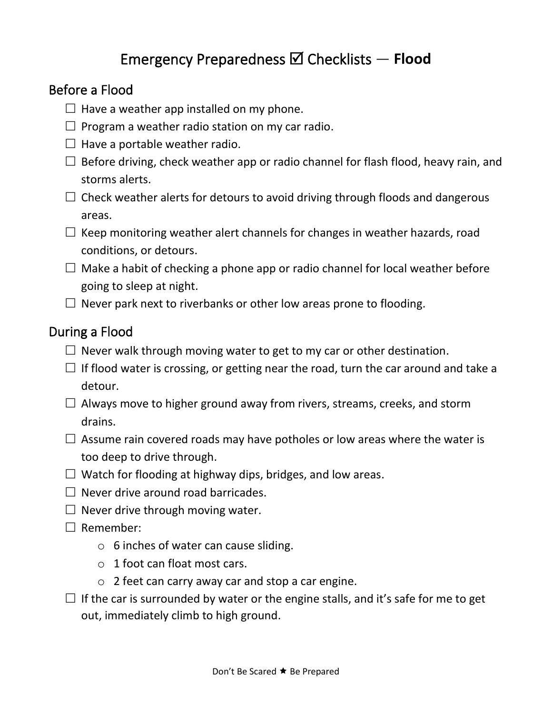## Emergency Preparedness Checklists — **Flood**

## Before a Flood

- $\Box$  Have a weather app installed on my phone.
- $\Box$  Program a weather radio station on my car radio.
- $\Box$  Have a portable weather radio.
- $\Box$  Before driving, check weather app or radio channel for flash flood, heavy rain, and storms alerts.
- $\Box$  Check weather alerts for detours to avoid driving through floods and dangerous areas.
- $\Box$  Keep monitoring weather alert channels for changes in weather hazards, road conditions, or detours.
- $\Box$  Make a habit of checking a phone app or radio channel for local weather before going to sleep at night.
- $\Box$  Never park next to riverbanks or other low areas prone to flooding.

## During a Flood

- $\Box$  Never walk through moving water to get to my car or other destination.
- $\Box$  If flood water is crossing, or getting near the road, turn the car around and take a detour.
- $\Box$  Always move to higher ground away from rivers, streams, creeks, and storm drains.
- $\Box$  Assume rain covered roads may have potholes or low areas where the water is too deep to drive through.
- $\Box$  Watch for flooding at highway dips, bridges, and low areas.
- $\Box$  Never drive around road barricades.
- $\Box$  Never drive through moving water.
- $\Box$  Remember:
	- $\circ$  6 inches of water can cause sliding.
	- $\circ$  1 foot can float most cars.
	- $\circ$  2 feet can carry away car and stop a car engine.
- $\Box$  If the car is surrounded by water or the engine stalls, and it's safe for me to get out, immediately climb to high ground.